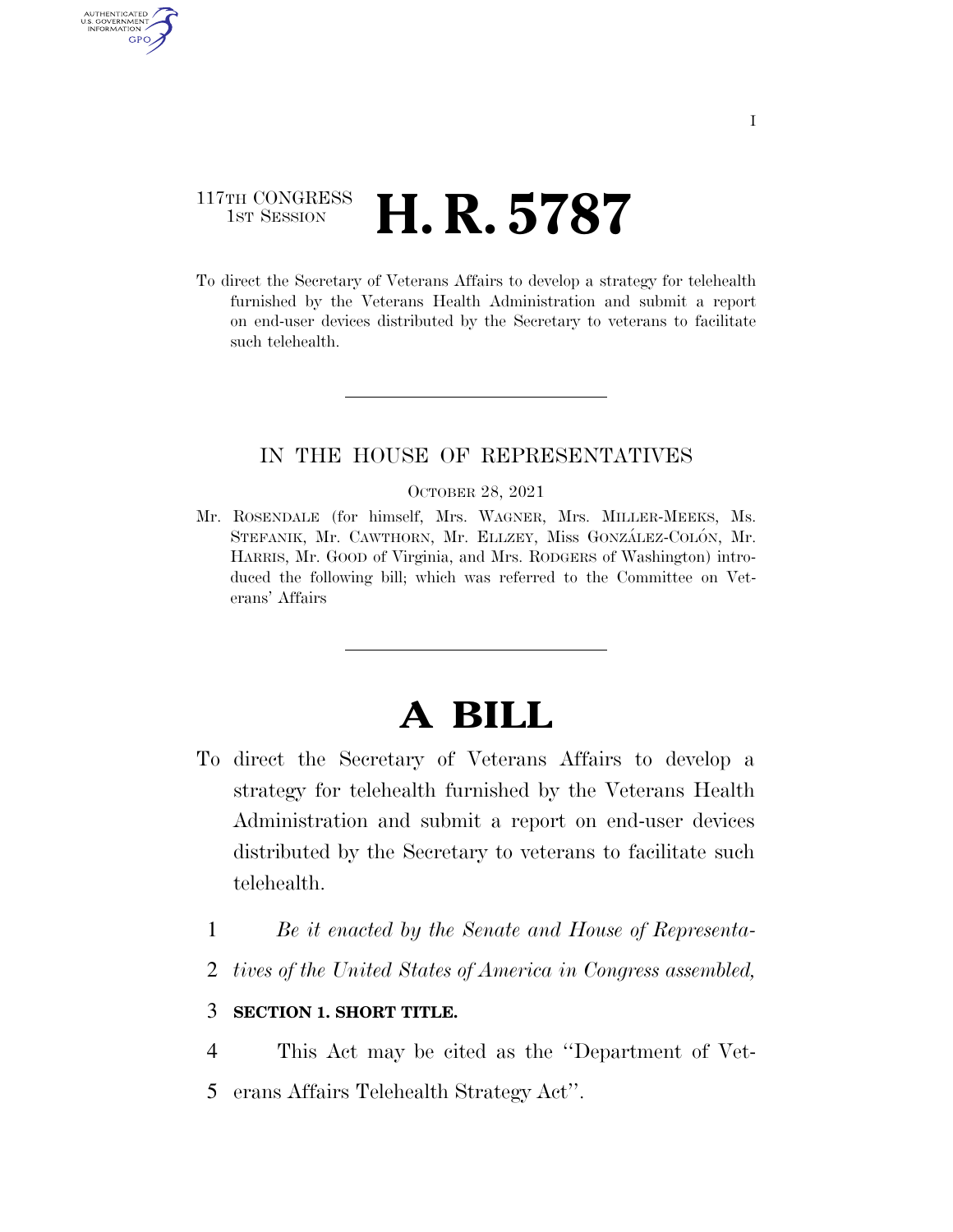### 117TH CONGRESS <sup>TH CONGRESS</sup> **H. R. 5787**

AUTHENTICATED U.S. GOVERNMENT GPO

> To direct the Secretary of Veterans Affairs to develop a strategy for telehealth furnished by the Veterans Health Administration and submit a report on end-user devices distributed by the Secretary to veterans to facilitate such telehealth.

### IN THE HOUSE OF REPRESENTATIVES

#### OCTOBER 28, 2021

Mr. ROSENDALE (for himself, Mrs. WAGNER, Mrs. MILLER-MEEKS, Ms. STEFANIK, Mr. CAWTHORN, Mr. ELLZEY, Miss GONZÁLEZ-COLÓN, Mr. HARRIS, Mr. GOOD of Virginia, and Mrs. RODGERS of Washington) introduced the following bill; which was referred to the Committee on Veterans' Affairs

# **A BILL**

- To direct the Secretary of Veterans Affairs to develop a strategy for telehealth furnished by the Veterans Health Administration and submit a report on end-user devices distributed by the Secretary to veterans to facilitate such telehealth.
	- 1 *Be it enacted by the Senate and House of Representa-*
	- 2 *tives of the United States of America in Congress assembled,*

### 3 **SECTION 1. SHORT TITLE.**

4 This Act may be cited as the ''Department of Vet-5 erans Affairs Telehealth Strategy Act''.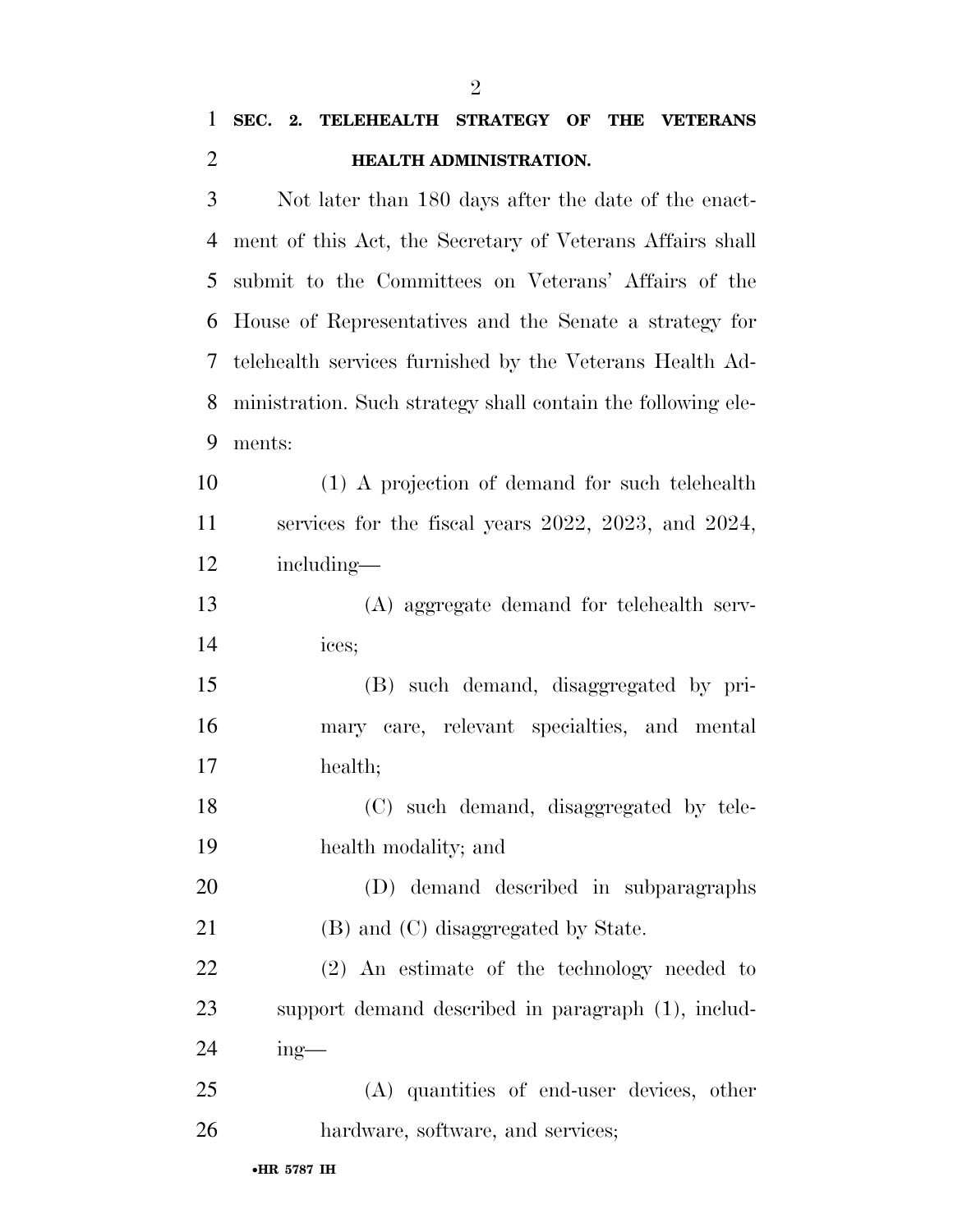## **SEC. 2. TELEHEALTH STRATEGY OF THE VETERANS HEALTH ADMINISTRATION.**

 Not later than 180 days after the date of the enact- ment of this Act, the Secretary of Veterans Affairs shall submit to the Committees on Veterans' Affairs of the House of Representatives and the Senate a strategy for telehealth services furnished by the Veterans Health Ad- ministration. Such strategy shall contain the following ele-ments:

 (1) A projection of demand for such telehealth services for the fiscal years 2022, 2023, and 2024, including—

 (A) aggregate demand for telehealth serv-ices;

 (B) such demand, disaggregated by pri- mary care, relevant specialties, and mental health;

 (C) such demand, disaggregated by tele-health modality; and

 (D) demand described in subparagraphs 21 (B) and (C) disaggregated by State.

 (2) An estimate of the technology needed to support demand described in paragraph (1), includ-ing—

 (A) quantities of end-user devices, other hardware, software, and services;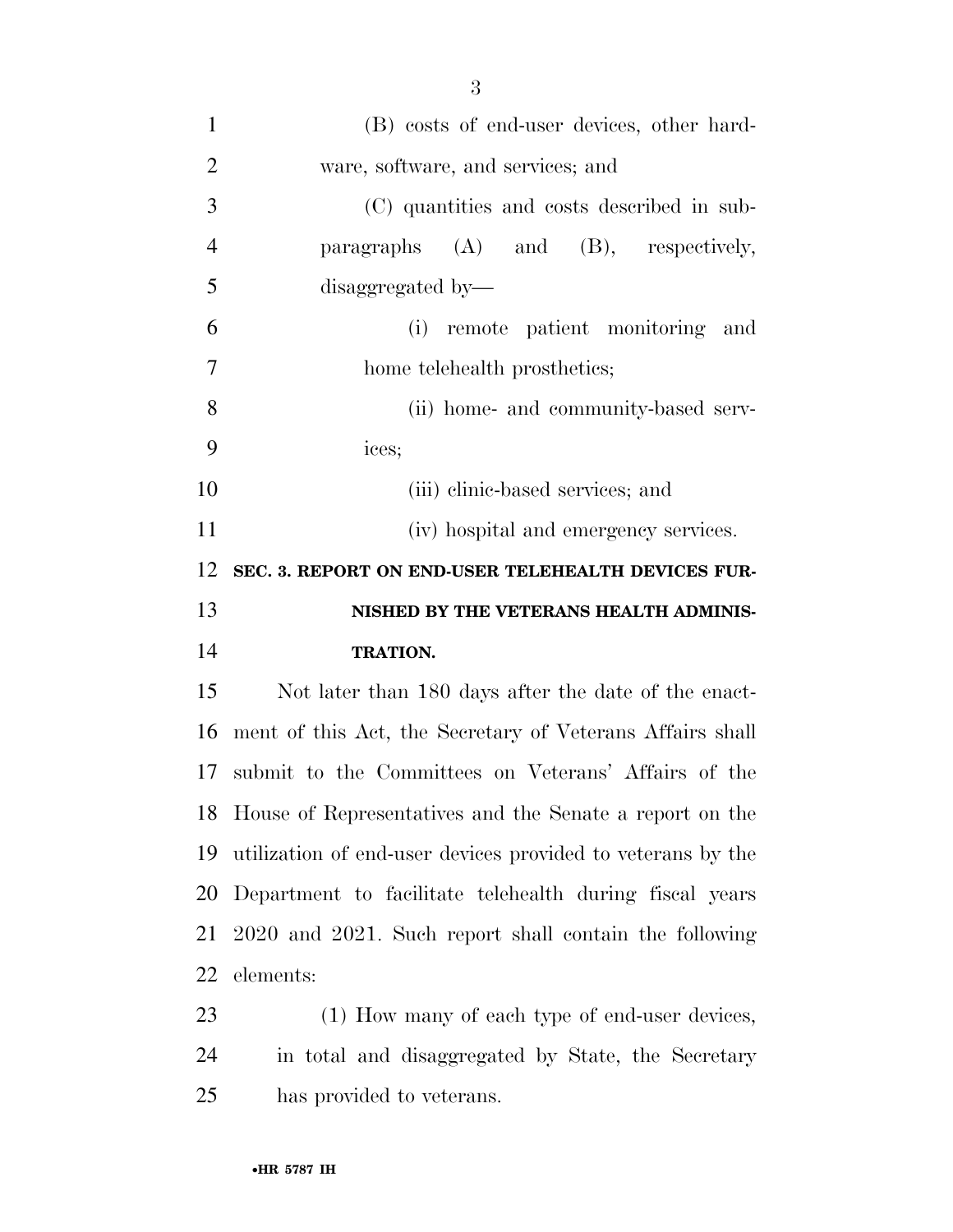| $\mathbf{1}$   | (B) costs of end-user devices, other hard-                  |
|----------------|-------------------------------------------------------------|
| $\overline{2}$ | ware, software, and services; and                           |
| 3              | (C) quantities and costs described in sub-                  |
| $\overline{4}$ | paragraphs $(A)$ and $(B)$ , respectively,                  |
| 5              | disaggregated by-                                           |
| 6              | (i) remote patient monitoring<br>and                        |
| $\tau$         | home telehealth prosthetics;                                |
| 8              | (ii) home- and community-based serv-                        |
| 9              | ices;                                                       |
| 10             | (iii) elinic-based services; and                            |
| 11             | (iv) hospital and emergency services.                       |
| 12             | SEC. 3. REPORT ON END-USER TELEHEALTH DEVICES FUR-          |
|                |                                                             |
|                | NISHED BY THE VETERANS HEALTH ADMINIS-                      |
| 13<br>14       | <b>TRATION.</b>                                             |
| 15             | Not later than 180 days after the date of the enact-        |
| 16             | ment of this Act, the Secretary of Veterans Affairs shall   |
|                | 17 submit to the Committees on Veterans' Affairs of the     |
|                | 18 House of Representatives and the Senate a report on the  |
| 19             | utilization of end-user devices provided to veterans by the |
| 20             | Department to facilitate telehealth during fiscal years     |
| 21             | 2020 and 2021. Such report shall contain the following      |
| 22             | elements:                                                   |
| 23             | (1) How many of each type of end-user devices,              |

has provided to veterans.